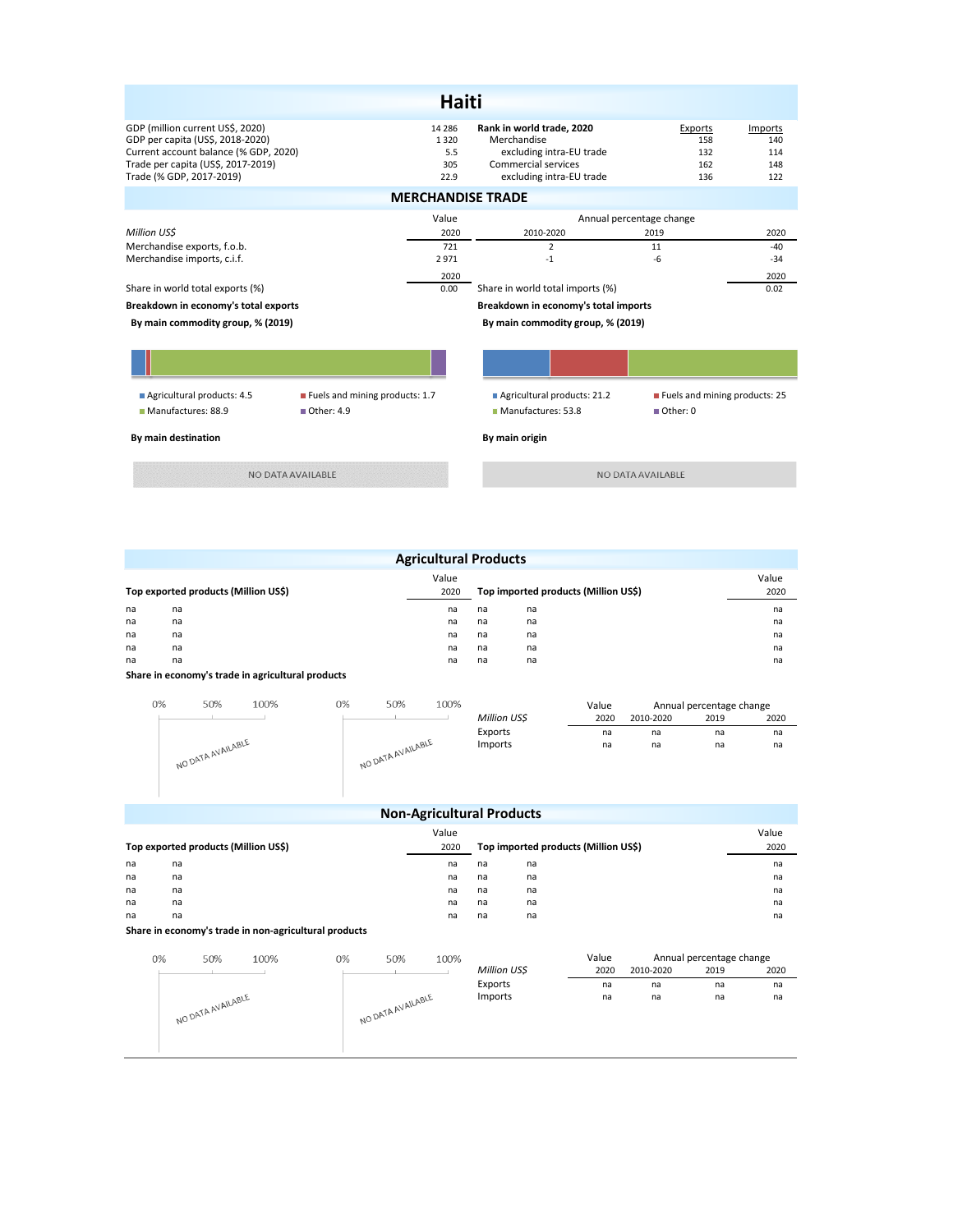| <b>Haiti</b>                                                                                                                                                                    |                                                             |                                        |                                                                                                                         |                                                          |                                     |  |  |  |  |
|---------------------------------------------------------------------------------------------------------------------------------------------------------------------------------|-------------------------------------------------------------|----------------------------------------|-------------------------------------------------------------------------------------------------------------------------|----------------------------------------------------------|-------------------------------------|--|--|--|--|
| GDP (million current US\$, 2020)<br>GDP per capita (US\$, 2018-2020)<br>Current account balance (% GDP, 2020)<br>Trade per capita (US\$, 2017-2019)<br>Trade (% GDP, 2017-2019) |                                                             | 14 2 8 6<br>1320<br>5.5<br>305<br>22.9 | Rank in world trade, 2020<br>Merchandise<br>excluding intra-EU trade<br>Commercial services<br>excluding intra-EU trade | Exports<br>158<br>132<br>162<br>136                      | Imports<br>140<br>114<br>148<br>122 |  |  |  |  |
| <b>MERCHANDISE TRADE</b>                                                                                                                                                        |                                                             |                                        |                                                                                                                         |                                                          |                                     |  |  |  |  |
| Million US\$<br>Merchandise exports, f.o.b.                                                                                                                                     |                                                             | Value<br>2020<br>721                   | 2010-2020<br>$\overline{2}$                                                                                             | Annual percentage change<br>2019<br>11                   | 2020<br>$-40$                       |  |  |  |  |
| Merchandise imports, c.i.f.                                                                                                                                                     |                                                             | 2971<br>2020                           | $-1$                                                                                                                    | -6                                                       | $-34$<br>2020                       |  |  |  |  |
| Share in world total exports (%)<br>0.00<br>Breakdown in economy's total exports                                                                                                |                                                             |                                        | Share in world total imports (%)<br>0.02<br>Breakdown in economy's total imports                                        |                                                          |                                     |  |  |  |  |
| By main commodity group, % (2019)                                                                                                                                               |                                                             |                                        | By main commodity group, % (2019)                                                                                       |                                                          |                                     |  |  |  |  |
|                                                                                                                                                                                 |                                                             |                                        |                                                                                                                         |                                                          |                                     |  |  |  |  |
| Agricultural products: 4.5<br>Manufactures: 88.9                                                                                                                                | Fuels and mining products: 1.7<br>$\blacksquare$ Other: 4.9 |                                        | Agricultural products: 21.2<br>Manufactures: 53.8                                                                       | Fuels and mining products: 25<br>$\blacksquare$ Other: 0 |                                     |  |  |  |  |
| By main destination                                                                                                                                                             |                                                             |                                        | By main origin                                                                                                          |                                                          |                                     |  |  |  |  |
| NO DATA AVAILABLE                                                                                                                                                               |                                                             |                                        |                                                                                                                         | NO DATA AVAILABLE                                        |                                     |  |  |  |  |

| <b>Agricultural Products</b> |                                      |               |    |                                      |               |  |  |  |
|------------------------------|--------------------------------------|---------------|----|--------------------------------------|---------------|--|--|--|
|                              | Top exported products (Million US\$) | Value<br>2020 |    | Top imported products (Million US\$) | Value<br>2020 |  |  |  |
| na                           | na                                   | na            | na | na                                   | na            |  |  |  |
| na                           | na                                   | na            | na | na                                   | na            |  |  |  |
| na                           | na                                   | na            | na | na                                   | na            |  |  |  |
| na                           | na                                   | na            | na | na                                   | na            |  |  |  |
| na                           | na                                   | na            | na | na                                   | na            |  |  |  |

**Share in economy's trade in agricultural products**

| 0% | 50%               | 100% | 0% | 50%<br>100%       |  |                    | Value |           | Annual percentage change |      |
|----|-------------------|------|----|-------------------|--|--------------------|-------|-----------|--------------------------|------|
|    |                   |      |    |                   |  | <b>Million USS</b> | 2020  | 2010-2020 | 2019                     | 2020 |
|    |                   |      |    |                   |  | Exports            | na    | na        | na                       | na   |
|    | NO DATA AVAILABLE |      |    | NO DATA AVAILABLE |  | Imports            | na    | na        | na                       | na   |
|    |                   |      |    |                   |  |                    |       |           |                          |      |

| <b>Non-Agricultural Products</b> |                                                         |       |    |                                      |       |  |  |  |  |  |
|----------------------------------|---------------------------------------------------------|-------|----|--------------------------------------|-------|--|--|--|--|--|
|                                  |                                                         | Value |    |                                      | Value |  |  |  |  |  |
|                                  | Top exported products (Million US\$)                    | 2020  |    | Top imported products (Million US\$) | 2020  |  |  |  |  |  |
| na                               | na                                                      | na    | na | na                                   | na    |  |  |  |  |  |
| na                               | na                                                      | na    | na | na                                   | na    |  |  |  |  |  |
| na                               | na                                                      | na    | na | na                                   | na    |  |  |  |  |  |
| na                               | na                                                      | na    | na | na                                   | na    |  |  |  |  |  |
| na                               | na                                                      | na    | na | na                                   | na    |  |  |  |  |  |
|                                  | Chave to accompany a trade to non-accioutured products. |       |    |                                      |       |  |  |  |  |  |

## **Share in economy's trade in non-agricultural products**

| 0%<br>50% |                   | 100% | 0% | 50%               | 100% |              | Value |           | Annual percentage change |      |  |
|-----------|-------------------|------|----|-------------------|------|--------------|-------|-----------|--------------------------|------|--|
|           |                   |      |    |                   |      | Million US\$ | 2020  | 2010-2020 | 2019                     | 2020 |  |
|           |                   |      |    |                   |      | Exports      | na    | na        | na                       | na   |  |
|           | NO DATA AVAILABLE |      |    | NO DATA AVAILABLE |      | Imports      | na    | na        | na                       | na   |  |